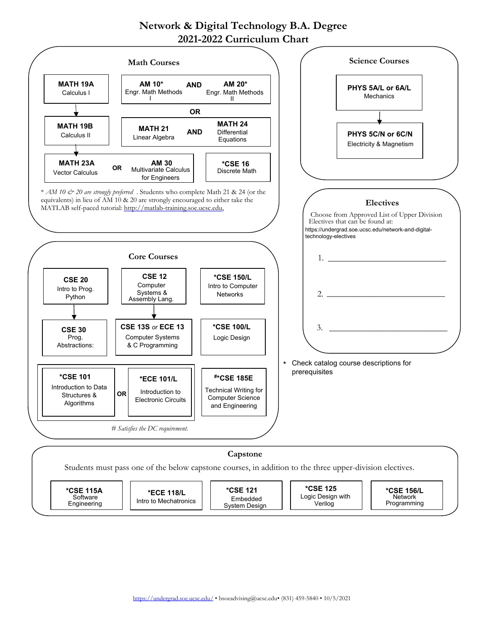## **Network & Digital Technology B.A. Degree 2021-2022 Curriculum Chart**